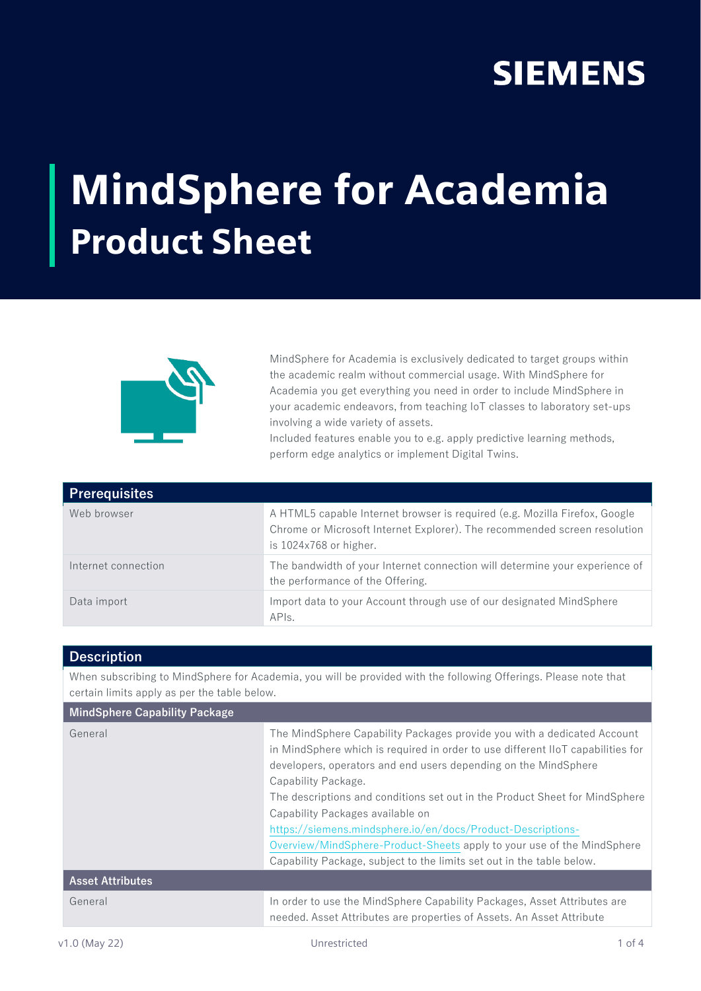## **SIEMENS**

## MindSphere for Academia Product Sheet



MindSphere for Academia is exclusively dedicated to target groups within the academic realm without commercial usage. With MindSphere for Academia you get everything you need in order to include MindSphere in your academic endeavors, from teaching IoT classes to laboratory set-ups involving a wide variety of assets.

Included features enable you to e.g. apply predictive learning methods, perform edge analytics or implement Digital Twins.

| <b>Prerequisites</b> |                                                                                                                                                                                     |
|----------------------|-------------------------------------------------------------------------------------------------------------------------------------------------------------------------------------|
| Web browser          | A HTML5 capable Internet browser is required (e.g. Mozilla Firefox, Google<br>Chrome or Microsoft Internet Explorer). The recommended screen resolution<br>is $1024x768$ or higher. |
| Internet connection  | The bandwidth of your Internet connection will determine your experience of<br>the performance of the Offering.                                                                     |
| Data import          | Import data to your Account through use of our designated MindSphere<br>APIs.                                                                                                       |

## **Description**

When subscribing to MindSphere for Academia, you will be provided with the following Offerings. Please note that certain limits apply as per the table below.

| <b>MindSphere Capability Package</b> |                                                                                                                                                                                                                                                                                                                                                                                                                                                                                                                                                                                           |
|--------------------------------------|-------------------------------------------------------------------------------------------------------------------------------------------------------------------------------------------------------------------------------------------------------------------------------------------------------------------------------------------------------------------------------------------------------------------------------------------------------------------------------------------------------------------------------------------------------------------------------------------|
| General                              | The MindSphere Capability Packages provide you with a dedicated Account<br>in MindSphere which is required in order to use different IIoT capabilities for<br>developers, operators and end users depending on the MindSphere<br>Capability Package.<br>The descriptions and conditions set out in the Product Sheet for MindSphere<br>Capability Packages available on<br>https://siemens.mindsphere.io/en/docs/Product-Descriptions-<br>Overview/MindSphere-Product-Sheets apply to your use of the MindSphere<br>Capability Package, subject to the limits set out in the table below. |
| <b>Asset Attributes</b>              |                                                                                                                                                                                                                                                                                                                                                                                                                                                                                                                                                                                           |
| General                              | In order to use the MindSphere Capability Packages, Asset Attributes are<br>needed. Asset Attributes are properties of Assets. An Asset Attribute                                                                                                                                                                                                                                                                                                                                                                                                                                         |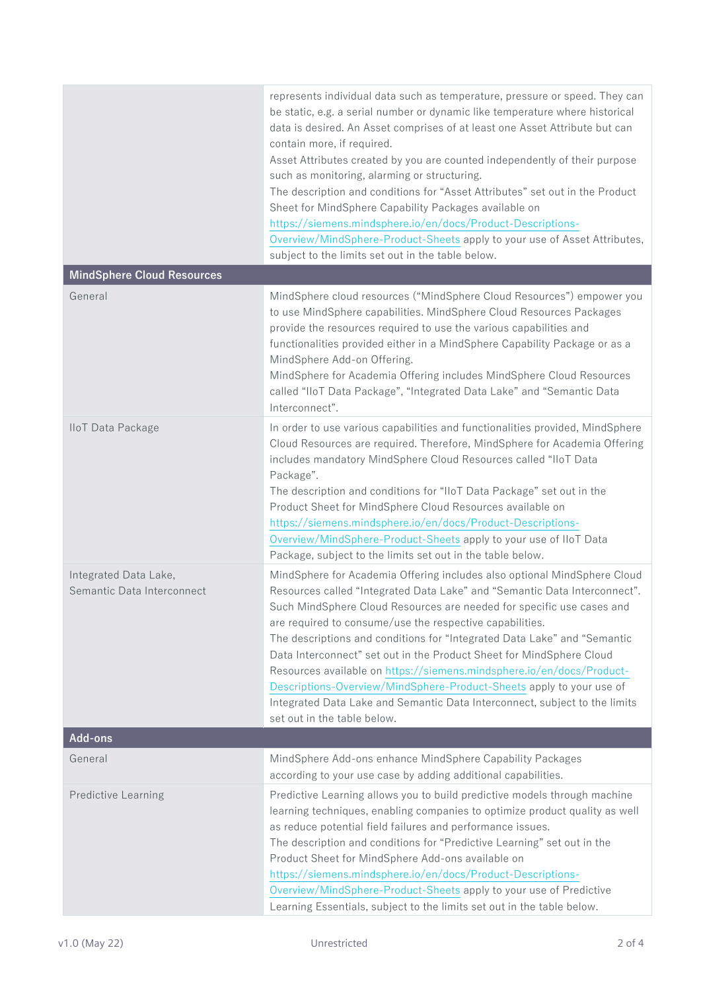|                                                     | represents individual data such as temperature, pressure or speed. They can<br>be static, e.g. a serial number or dynamic like temperature where historical<br>data is desired. An Asset comprises of at least one Asset Attribute but can<br>contain more, if required.<br>Asset Attributes created by you are counted independently of their purpose<br>such as monitoring, alarming or structuring.<br>The description and conditions for "Asset Attributes" set out in the Product<br>Sheet for MindSphere Capability Packages available on<br>https://siemens.mindsphere.io/en/docs/Product-Descriptions-<br>Overview/MindSphere-Product-Sheets apply to your use of Asset Attributes,<br>subject to the limits set out in the table below. |
|-----------------------------------------------------|--------------------------------------------------------------------------------------------------------------------------------------------------------------------------------------------------------------------------------------------------------------------------------------------------------------------------------------------------------------------------------------------------------------------------------------------------------------------------------------------------------------------------------------------------------------------------------------------------------------------------------------------------------------------------------------------------------------------------------------------------|
| <b>MindSphere Cloud Resources</b>                   |                                                                                                                                                                                                                                                                                                                                                                                                                                                                                                                                                                                                                                                                                                                                                  |
| General                                             | MindSphere cloud resources ("MindSphere Cloud Resources") empower you<br>to use MindSphere capabilities. MindSphere Cloud Resources Packages<br>provide the resources required to use the various capabilities and<br>functionalities provided either in a MindSphere Capability Package or as a<br>MindSphere Add-on Offering.<br>MindSphere for Academia Offering includes MindSphere Cloud Resources<br>called "IloT Data Package", "Integrated Data Lake" and "Semantic Data<br>Interconnect".                                                                                                                                                                                                                                               |
| <b>IloT</b> Data Package                            | In order to use various capabilities and functionalities provided, MindSphere<br>Cloud Resources are required. Therefore, MindSphere for Academia Offering<br>includes mandatory MindSphere Cloud Resources called "IloT Data<br>Package".<br>The description and conditions for "IIoT Data Package" set out in the<br>Product Sheet for MindSphere Cloud Resources available on<br>https://siemens.mindsphere.io/en/docs/Product-Descriptions-<br>Overview/MindSphere-Product-Sheets apply to your use of IIoT Data<br>Package, subject to the limits set out in the table below.                                                                                                                                                               |
| Integrated Data Lake,<br>Semantic Data Interconnect | MindSphere for Academia Offering includes also optional MindSphere Cloud<br>Resources called "Integrated Data Lake" and "Semantic Data Interconnect".<br>Such MindSphere Cloud Resources are needed for specific use cases and<br>are required to consume/use the respective capabilities.<br>The descriptions and conditions for "Integrated Data Lake" and "Semantic<br>Data Interconnect" set out in the Product Sheet for MindSphere Cloud<br>Resources available on https://siemens.mindsphere.io/en/docs/Product-<br>Descriptions-Overview/MindSphere-Product-Sheets apply to your use of<br>Integrated Data Lake and Semantic Data Interconnect, subject to the limits<br>set out in the table below.                                     |
| <b>Add-ons</b>                                      |                                                                                                                                                                                                                                                                                                                                                                                                                                                                                                                                                                                                                                                                                                                                                  |
| General                                             | MindSphere Add-ons enhance MindSphere Capability Packages<br>according to your use case by adding additional capabilities.                                                                                                                                                                                                                                                                                                                                                                                                                                                                                                                                                                                                                       |
| <b>Predictive Learning</b>                          | Predictive Learning allows you to build predictive models through machine<br>learning techniques, enabling companies to optimize product quality as well<br>as reduce potential field failures and performance issues.<br>The description and conditions for "Predictive Learning" set out in the<br>Product Sheet for MindSphere Add-ons available on<br>https://siemens.mindsphere.io/en/docs/Product-Descriptions-<br>Overview/MindSphere-Product-Sheets apply to your use of Predictive<br>Learning Essentials, subject to the limits set out in the table below.                                                                                                                                                                            |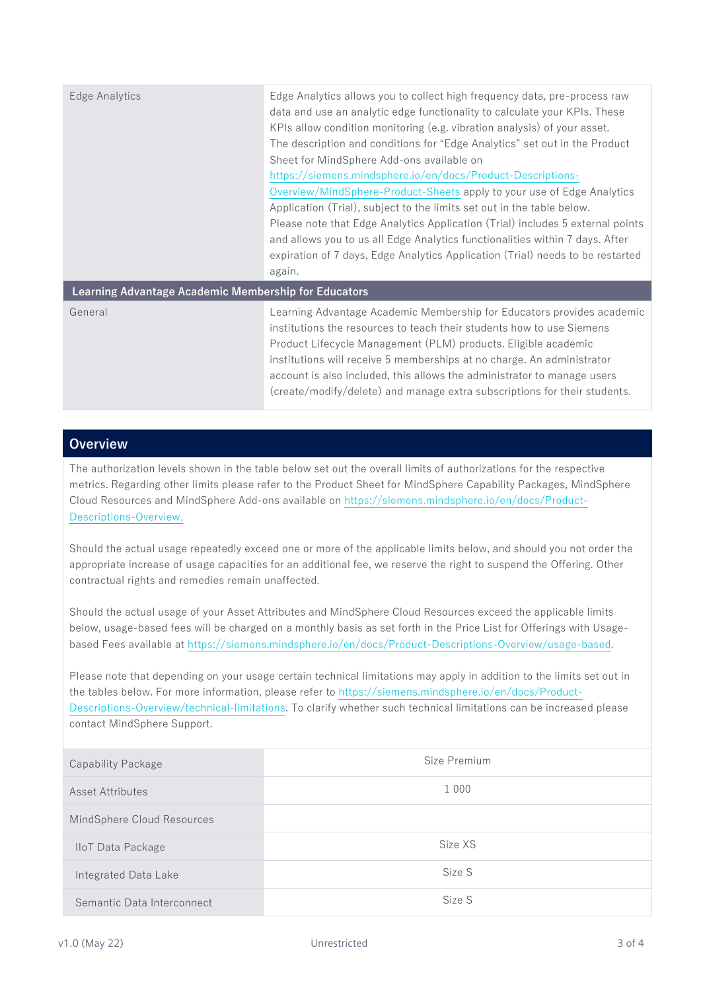| Edge Analytics                                       | Edge Analytics allows you to collect high frequency data, pre-process raw<br>data and use an analytic edge functionality to calculate your KPIs. These<br>KPIs allow condition monitoring (e.g. vibration analysis) of your asset.<br>The description and conditions for "Edge Analytics" set out in the Product<br>Sheet for MindSphere Add-ons available on<br>https://siemens.mindsphere.io/en/docs/Product-Descriptions-<br>Overview/MindSphere-Product-Sheets apply to your use of Edge Analytics<br>Application (Trial), subject to the limits set out in the table below.<br>Please note that Edge Analytics Application (Trial) includes 5 external points<br>and allows you to us all Edge Analytics functionalities within 7 days. After<br>expiration of 7 days, Edge Analytics Application (Trial) needs to be restarted<br>again. |
|------------------------------------------------------|------------------------------------------------------------------------------------------------------------------------------------------------------------------------------------------------------------------------------------------------------------------------------------------------------------------------------------------------------------------------------------------------------------------------------------------------------------------------------------------------------------------------------------------------------------------------------------------------------------------------------------------------------------------------------------------------------------------------------------------------------------------------------------------------------------------------------------------------|
| Learning Advantage Academic Membership for Educators |                                                                                                                                                                                                                                                                                                                                                                                                                                                                                                                                                                                                                                                                                                                                                                                                                                                |
| General                                              | Learning Advantage Academic Membership for Educators provides academic<br>institutions the resources to teach their students how to use Siemens<br>Product Lifecycle Management (PLM) products. Eligible academic<br>institutions will receive 5 memberships at no charge. An administrator<br>account is also included, this allows the administrator to manage users<br>(create/modify/delete) and manage extra subscriptions for their students.                                                                                                                                                                                                                                                                                                                                                                                            |

## **Overview**

The authorization levels shown in the table below set out the overall limits of authorizations for the respective metrics. Regarding other limits please refer to the Product Sheet for MindSphere Capability Packages, MindSphere Cloud Resources and MindSphere Add-ons available on [https://siemens.mindsphere.io/en/docs/Product-](https://siemens.mindsphere.io/en/docs/Product-Descriptions-Overview)[Descriptions-Overview](https://siemens.mindsphere.io/en/docs/Product-Descriptions-Overview).

Should the actual usage repeatedly exceed one or more of the applicable limits below, and should you not order the appropriate increase of usage capacities for an additional fee, we reserve the right to suspend the Offering. Other contractual rights and remedies remain unaffected.

Should the actual usage of your Asset Attributes and MindSphere Cloud Resources exceed the applicable limits below, usage-based fees will be charged on a monthly basis as set forth in the Price List for Offerings with Usagebased Fees available at [https://siemens.mindsphere.io/en/docs/Product-Descriptions-Overview/usage-based.](https://siemens.mindsphere.io/en/docs/Product-Descriptions-Overview/usage-based)

Please note that depending on your usage certain technical limitations may apply in addition to the limits set out in the tables below. For more information, please refer t[o https://siemens.mindsphere.io/en/docs/Product-](https://siemens.mindsphere.io/en/docs/Product-Descriptions-Overview/technical-limitations)[Descriptions-Overview/technical-limitations.](https://siemens.mindsphere.io/en/docs/Product-Descriptions-Overview/technical-limitations) To clarify whether such technical limitations can be increased please contact MindSphere Support.

| <b>Capability Package</b>  | Size Premium |
|----------------------------|--------------|
| Asset Attributes           | 1 0 0 0      |
| MindSphere Cloud Resources |              |
| <b>IloT</b> Data Package   | Size XS      |
| Integrated Data Lake       | Size S       |
| Semantic Data Interconnect | Size S       |